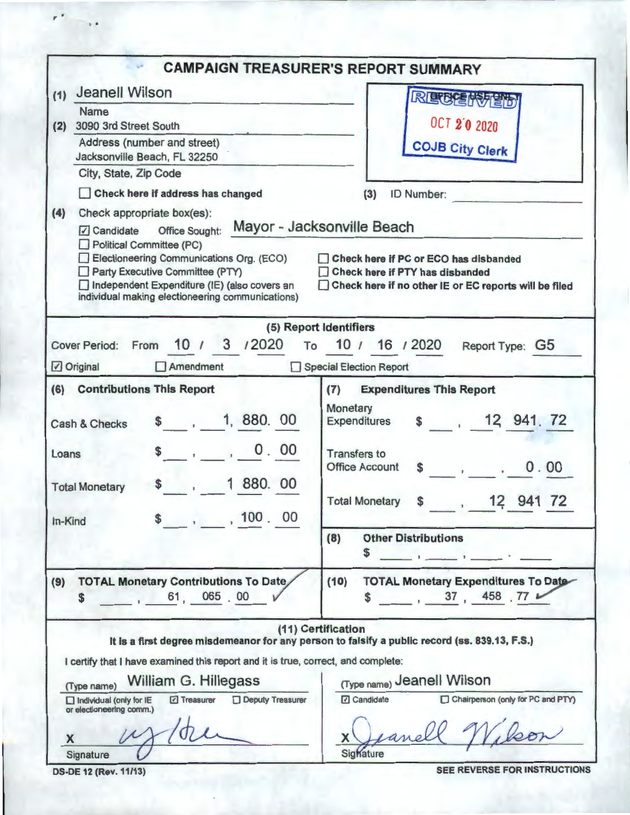|                                                                                                                                                                                                                                                                                                   | <b>CAMPAIGN TREASURER'S REPORT SUMMARY</b>                                                                                                                                                                             |
|---------------------------------------------------------------------------------------------------------------------------------------------------------------------------------------------------------------------------------------------------------------------------------------------------|------------------------------------------------------------------------------------------------------------------------------------------------------------------------------------------------------------------------|
| Jeanell Wilson<br>(1)                                                                                                                                                                                                                                                                             | RECEMPED                                                                                                                                                                                                               |
| <b>Name</b><br>3090 3rd Street South<br>(2)                                                                                                                                                                                                                                                       | <b>OCT 2'0 2020</b>                                                                                                                                                                                                    |
| Address (number and street)<br>Jacksonville Beach, FL 32250                                                                                                                                                                                                                                       | <b>COJB City Clerk</b>                                                                                                                                                                                                 |
| City, State, Zip Code                                                                                                                                                                                                                                                                             |                                                                                                                                                                                                                        |
| Check here if address has changed                                                                                                                                                                                                                                                                 | ID Number:<br>(3)                                                                                                                                                                                                      |
| Check appropriate box(es):<br>(4)<br>$\sqrt{ }$ Candidate<br><b>Office Sought:</b><br>Political Committee (PC)<br>Electioneering Communications Org. (ECO)<br>Party Executive Committee (PTY)<br>Independent Expenditure (IE) (also covers an<br>individual making electioneering communications) | Mayor - Jacksonville Beach<br>Check here if PC or ECO has disbanded<br>Check here if PTY has disbanded<br>Check here if no other IE or EC reports will be filed                                                        |
|                                                                                                                                                                                                                                                                                                   | (5) Report Identifiers                                                                                                                                                                                                 |
| 10 / 3 /2020<br>Cover Period: From                                                                                                                                                                                                                                                                | To 10 / 16 / 2020<br>Report Type: G5                                                                                                                                                                                   |
| Original<br>$\Box$ Amendment                                                                                                                                                                                                                                                                      | Special Election Report                                                                                                                                                                                                |
| (6) Contributions This Report<br>1, 880, 00<br>Cash & Checks<br>0.00<br>Loans<br>1 880. 00<br><b>Total Monetary</b>                                                                                                                                                                               | (7)<br><b>Expenditures This Report</b><br>Monetary<br>\$ 12, 941, 72<br>Expenditures<br><b>Transfers to</b><br><b>Office Account</b><br>0.00<br>\$<br>$\mathbf{r}$<br>12 941 72<br><b>Total Monetary</b><br>\$<br>11.1 |
| \$, 100, 00<br>In-Kind                                                                                                                                                                                                                                                                            | <b>Other Distributions</b><br>(8)<br>\$<br>the first property of the control of the control of                                                                                                                         |
| <b>TOTAL Monetary Contributions To Date</b><br>(9)<br>61, 065 00<br>\$                                                                                                                                                                                                                            | <b>TOTAL Monetary Expenditures To Date</b><br>(10)<br>37,458,77<br>S                                                                                                                                                   |
| I certify that I have examined this report and it is true, correct, and complete:                                                                                                                                                                                                                 | (11) Certification<br>It is a first degree misdemeanor for any person to falsify a public record (ss. 839.13, F.S.)                                                                                                    |
| William G. Hillegass<br>(Type name)                                                                                                                                                                                                                                                               | (Type name) Jeanell Wilson                                                                                                                                                                                             |
| Deputy Treasurer<br>□ Treasurer<br>$\Box$ Individual (only for IE<br>or electioneering comm.)<br>X                                                                                                                                                                                                | <b>□</b> Candidate<br>Chairperson (only for PC and PTY)<br>X                                                                                                                                                           |
| Signature                                                                                                                                                                                                                                                                                         | Sighature                                                                                                                                                                                                              |

*<sup>r</sup>*• ..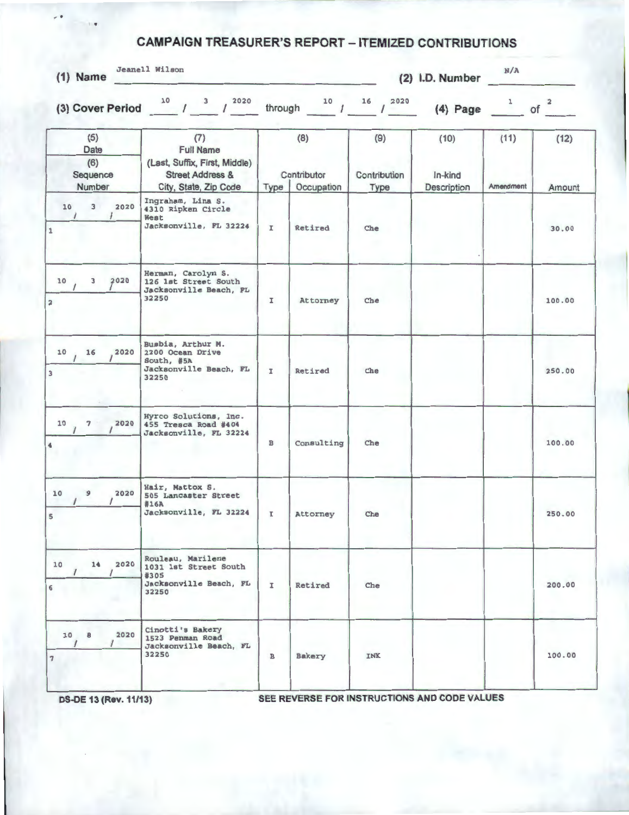## **CAMPAIGN TREASURER'S REPORT - ITEMIZED CONTRIBUTIONS**

| $(1)$ Name                               | Jeanell Wilson                                                                                                   | (2) I.D. Number                          |                       |                             |                                | N/A               |                               |
|------------------------------------------|------------------------------------------------------------------------------------------------------------------|------------------------------------------|-----------------------|-----------------------------|--------------------------------|-------------------|-------------------------------|
|                                          | (3) Cover Period $10^{10}$ / $3^{10}$ / $2020$                                                                   |                                          | through $10$ / $16$ / | 2020                        | (4) Page $1$                   |                   | $\overline{\mathbf{2}}$<br>of |
| (5)<br>Date<br>(6)<br>Sequence<br>Number | (7)<br><b>Full Name</b><br>(Last, Suffix, First, Middle)<br><b>Street Address &amp;</b><br>City, State, Zip Code | (8)<br>Contributor<br>Occupation<br>Type |                       | (9)<br>Contribution<br>Type | (10)<br>In-kind<br>Description | (11)<br>Amendment | (12)<br>Amount                |
| 3<br>2020<br>10<br>$\prime$<br>1         | Ingraham, Lina S.<br>4310 Ripken Circle<br>West<br>Jacksonville, FL 32224                                        | $\mathbf{I}$                             | Retired               | Che                         |                                |                   | 30.00                         |
| 10<br>3<br>2020<br>$\overline{2}$        | Herman, Carolyn S.<br>126 1st Street South<br>Jacksonville Beach, FL<br>32250                                    | $\mathbf{I}$                             | Attorney              | Che                         |                                |                   | 100.00                        |
| 16<br>2020<br>10<br>$\overline{3}$       | Busbia, Arthur M.<br>2200 Ocean Drive<br>South, #5A<br>Jacksonville Beach, FL<br>32250                           | I                                        | Retired               | Che                         |                                |                   | 250.00                        |
| 7<br>2020<br>10<br>$\blacktriangleleft$  | Hyrco Solutions, Inc.<br>455 Tresca Road #404<br>Jacksonville, FL 32224                                          | $\overline{B}$                           | Consulting            | Che                         |                                |                   | 100.00                        |
| 10<br>9<br>2020<br>$\sqrt{5}$            | Hair, Mattox S.<br>505 Lancaster Street<br>#16A<br>Jacksonville, FL 32224                                        | $\mathbf{I}$                             | Attorney              | Che                         |                                |                   | 250.00                        |
| 2020<br>14<br>10<br>6                    | Rouleau, Marilene<br>1031 1st Street South<br>#305<br>Jacksonville Beach, FL<br>32250                            | I                                        | Retired               | Che                         |                                |                   | 200.00                        |
| 2020<br>10B<br>7                         | Cinotti's Bakery<br>1523 Penman Road<br>Jacksonville Beach, FL<br>32250                                          | $\, {\bf B}$                             | <b>Bakery</b>         | <b>INK</b>                  |                                |                   | 100.00                        |

*r* t

**DS-DE 13 (Rev. 11/13)** SEE REVERSE FOR INSTRUCTIONS AND CODE VALUES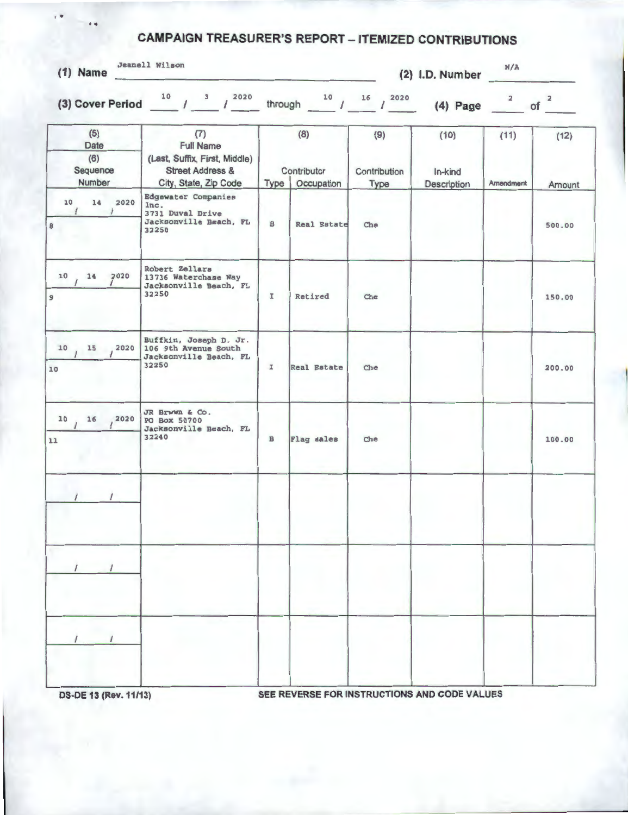## **CAMPAIGN TREASURER'S REPORT - ITEMIZED CONTRIBUTIONS**

| $(1)$ Name |
|------------|
|            |

' .

Jeanell Wilson

**(2) 1.0. Number** 

**N/A** 

| (5)<br>(7)<br><b>Full Name</b><br>Date<br>(6)<br>(Last, Suffix, First, Middle) |                                                                                           | (8)          |                                   | (9)                  | (10)                   | (11)      | (12)   |
|--------------------------------------------------------------------------------|-------------------------------------------------------------------------------------------|--------------|-----------------------------------|----------------------|------------------------|-----------|--------|
| Sequence<br>Number                                                             | <b>Street Address &amp;</b><br>City, State, Zip Code                                      |              | Contributor<br>Occupation<br>Type | Contribution<br>Type | In-kind<br>Description | Amendment | Amount |
| 14<br>2020<br>10<br>$\sqrt{ }$<br>$\overline{1}$<br>8                          | <b>Edgewater Companies</b><br>Inc.<br>3731 Duval Drive<br>Jacksonville Beach, FL<br>32250 | в            | <b>Real Estate</b>                | Che                  |                        |           | 500.00 |
| 2020<br>10<br>14<br>$\overline{9}$                                             | Robert Zellars<br>13736 Waterchase Way<br>Jacksonville Beach, FL<br>32250                 | I            | Retired                           | Che                  |                        |           | 150.00 |
| 15, 2020<br>10<br>10                                                           | Buffkin, Joseph D. Jr.<br>106 9th Avenue South<br>Jacksonville Beach, FL<br>32250         | I            | <b>Real Estate</b>                | Che                  |                        |           | 200.00 |
| $10$ $16$ $2020$<br>11                                                         | JR Brwwn & Co.<br>PO Box 50700<br>Jacksonville Beach, FL<br>32240                         | $\, {\bf B}$ | Flag sales                        | Che                  |                        |           | 100.00 |
|                                                                                |                                                                                           |              |                                   |                      |                        |           |        |
|                                                                                |                                                                                           |              |                                   |                      |                        |           |        |
|                                                                                |                                                                                           |              |                                   |                      |                        |           |        |

**DS-DE 13 (Rev. 11/13) SEE REVERSE FOR INSTRUCTIONS AND CODE VALUES**